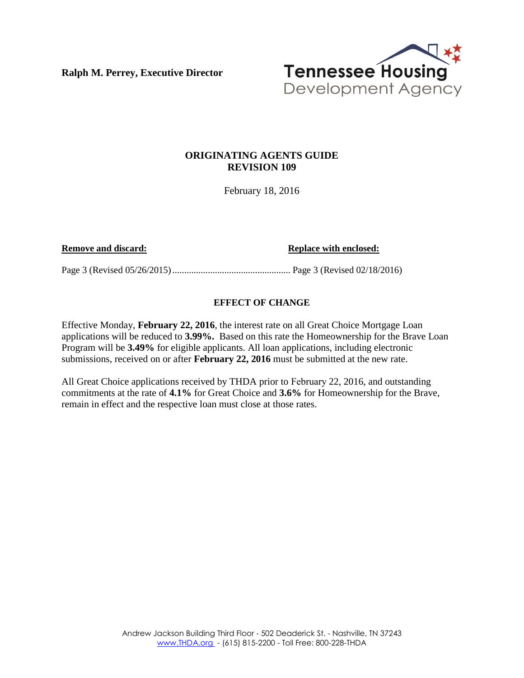**Ralph M. Perrey, Executive Director** 



### **ORIGINATING AGENTS GUIDE REVISION 109**

February 18, 2016

**Remove and discard: Replace with enclosed: Replace with enclosed:** 

Page 3 (Revised 05/26/2015) .................................................. Page 3 (Revised 02/18/2016)

### **EFFECT OF CHANGE**

Effective Monday, **February 22, 2016**, the interest rate on all Great Choice Mortgage Loan applications will be reduced to **3.99%.** Based on this rate the Homeownership for the Brave Loan Program will be **3.49%** for eligible applicants. All loan applications, including electronic submissions, received on or after **February 22, 2016** must be submitted at the new rate.

All Great Choice applications received by THDA prior to February 22, 2016, and outstanding commitments at the rate of **4.1%** for Great Choice and **3.6%** for Homeownership for the Brave, remain in effect and the respective loan must close at those rates.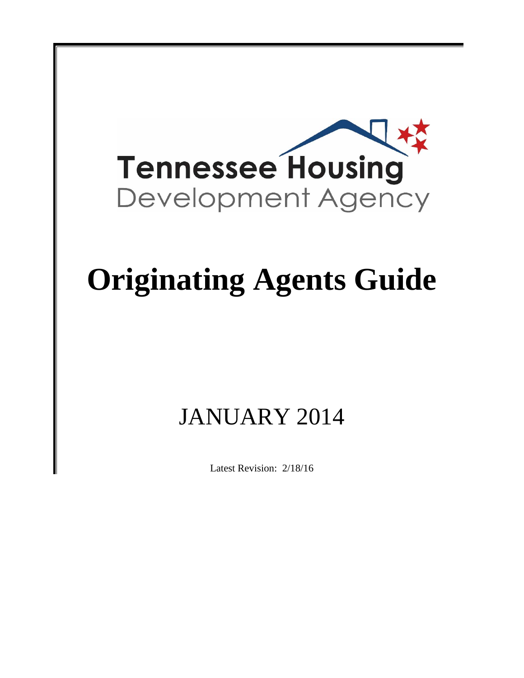

# **Originating Agents Guide**

## JANUARY 2014

Latest Revision: 2/18/16